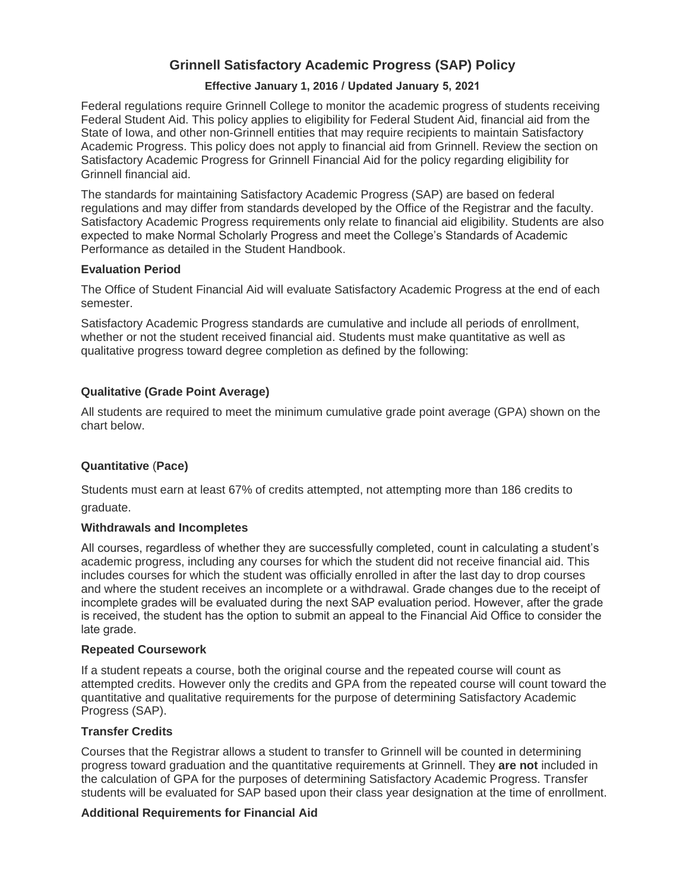# **Grinnell Satisfactory Academic Progress (SAP) Policy**

## **Effective January 1, 2016 / Updated January 5, 2021**

Federal regulations require Grinnell College to monitor the academic progress of students receiving Federal Student Aid. This policy applies to eligibility for Federal Student Aid, financial aid from the State of Iowa, and other non-Grinnell entities that may require recipients to maintain Satisfactory Academic Progress. This policy does not apply to financial aid from Grinnell. Review the section on Satisfactory Academic Progress for Grinnell Financial Aid for the policy regarding eligibility for Grinnell financial aid.

The standards for maintaining Satisfactory Academic Progress (SAP) are based on federal regulations and may differ from standards developed by the Office of the Registrar and the faculty. Satisfactory Academic Progress requirements only relate to financial aid eligibility. Students are also expected to make Normal Scholarly Progress and meet the College's Standards of Academic Performance as detailed in the Student Handbook.

## **Evaluation Period**

The Office of Student Financial Aid will evaluate Satisfactory Academic Progress at the end of each semester.

Satisfactory Academic Progress standards are cumulative and include all periods of enrollment, whether or not the student received financial aid. Students must make quantitative as well as qualitative progress toward degree completion as defined by the following:

## **Qualitative (Grade Point Average)**

All students are required to meet the minimum cumulative grade point average (GPA) shown on the chart below.

## **Quantitative** (**Pace)**

Students must earn at least 67% of credits attempted, not attempting more than 186 credits to graduate.

## **Withdrawals and Incompletes**

All courses, regardless of whether they are successfully completed, count in calculating a student's academic progress, including any courses for which the student did not receive financial aid. This includes courses for which the student was officially enrolled in after the last day to drop courses and where the student receives an incomplete or a withdrawal. Grade changes due to the receipt of incomplete grades will be evaluated during the next SAP evaluation period. However, after the grade is received, the student has the option to submit an appeal to the Financial Aid Office to consider the late grade.

## **Repeated Coursework**

If a student repeats a course, both the original course and the repeated course will count as attempted credits. However only the credits and GPA from the repeated course will count toward the quantitative and qualitative requirements for the purpose of determining Satisfactory Academic Progress (SAP).

## **Transfer Credits**

Courses that the Registrar allows a student to transfer to Grinnell will be counted in determining progress toward graduation and the quantitative requirements at Grinnell. They **are not** included in the calculation of GPA for the purposes of determining Satisfactory Academic Progress. Transfer students will be evaluated for SAP based upon their class year designation at the time of enrollment.

## **Additional Requirements for Financial Aid**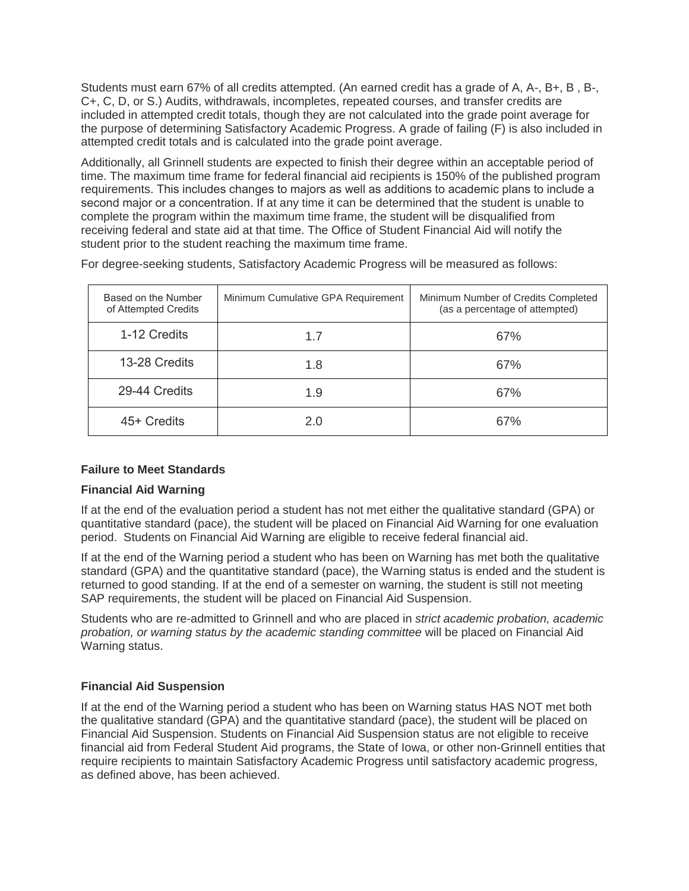Students must earn 67% of all credits attempted. (An earned credit has a grade of A, A-, B+, B , B-, C+, C, D, or S.) Audits, withdrawals, incompletes, repeated courses, and transfer credits are included in attempted credit totals, though they are not calculated into the grade point average for the purpose of determining Satisfactory Academic Progress. A grade of failing (F) is also included in attempted credit totals and is calculated into the grade point average.

Additionally, all Grinnell students are expected to finish their degree within an acceptable period of time. The maximum time frame for federal financial aid recipients is 150% of the published program requirements. This includes changes to majors as well as additions to academic plans to include a second major or a concentration. If at any time it can be determined that the student is unable to complete the program within the maximum time frame, the student will be disqualified from receiving federal and state aid at that time. The Office of Student Financial Aid will notify the student prior to the student reaching the maximum time frame.

| Based on the Number<br>of Attempted Credits | Minimum Cumulative GPA Requirement | Minimum Number of Credits Completed<br>(as a percentage of attempted) |
|---------------------------------------------|------------------------------------|-----------------------------------------------------------------------|
| 1-12 Credits                                | 1.7                                | 67%                                                                   |
| 13-28 Credits                               | 1.8                                | 67%                                                                   |
| 29-44 Credits                               | 1.9                                | 67%                                                                   |
| 45+ Credits                                 | 2.0                                | 67%                                                                   |

For degree-seeking students, Satisfactory Academic Progress will be measured as follows:

## **Failure to Meet Standards**

## **Financial Aid Warning**

If at the end of the evaluation period a student has not met either the qualitative standard (GPA) or quantitative standard (pace), the student will be placed on Financial Aid Warning for one evaluation period. Students on Financial Aid Warning are eligible to receive federal financial aid.

If at the end of the Warning period a student who has been on Warning has met both the qualitative standard (GPA) and the quantitative standard (pace), the Warning status is ended and the student is returned to good standing. If at the end of a semester on warning, the student is still not meeting SAP requirements, the student will be placed on Financial Aid Suspension.

Students who are re-admitted to Grinnell and who are placed in *strict academic probation, academic probation, or warning status by the academic standing committee* will be placed on Financial Aid Warning status.

## **Financial Aid Suspension**

If at the end of the Warning period a student who has been on Warning status HAS NOT met both the qualitative standard (GPA) and the quantitative standard (pace), the student will be placed on Financial Aid Suspension. Students on Financial Aid Suspension status are not eligible to receive financial aid from Federal Student Aid programs, the State of Iowa, or other non-Grinnell entities that require recipients to maintain Satisfactory Academic Progress until satisfactory academic progress, as defined above, has been achieved.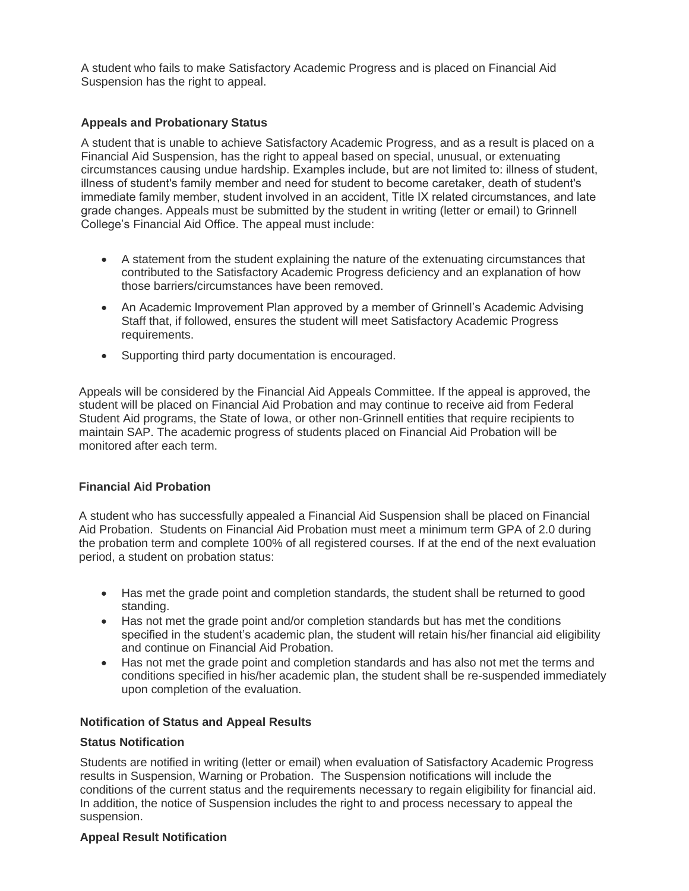A student who fails to make Satisfactory Academic Progress and is placed on Financial Aid Suspension has the right to appeal.

## **Appeals and Probationary Status**

A student that is unable to achieve Satisfactory Academic Progress, and as a result is placed on a Financial Aid Suspension, has the right to appeal based on special, unusual, or extenuating circumstances causing undue hardship. Examples include, but are not limited to: illness of student, illness of student's family member and need for student to become caretaker, death of student's immediate family member, student involved in an accident, Title IX related circumstances, and late grade changes. Appeals must be submitted by the student in writing (letter or email) to Grinnell College's Financial Aid Office. The appeal must include:

- A statement from the student explaining the nature of the extenuating circumstances that contributed to the Satisfactory Academic Progress deficiency and an explanation of how those barriers/circumstances have been removed.
- An Academic Improvement Plan approved by a member of Grinnell's Academic Advising Staff that, if followed, ensures the student will meet Satisfactory Academic Progress requirements.
- Supporting third party documentation is encouraged.

Appeals will be considered by the Financial Aid Appeals Committee. If the appeal is approved, the student will be placed on Financial Aid Probation and may continue to receive aid from Federal Student Aid programs, the State of Iowa, or other non-Grinnell entities that require recipients to maintain SAP. The academic progress of students placed on Financial Aid Probation will be monitored after each term.

#### **Financial Aid Probation**

A student who has successfully appealed a Financial Aid Suspension shall be placed on Financial Aid Probation. Students on Financial Aid Probation must meet a minimum term GPA of 2.0 during the probation term and complete 100% of all registered courses. If at the end of the next evaluation period, a student on probation status:

- Has met the grade point and completion standards, the student shall be returned to good standing.
- Has not met the grade point and/or completion standards but has met the conditions specified in the student's academic plan, the student will retain his/her financial aid eligibility and continue on Financial Aid Probation.
- Has not met the grade point and completion standards and has also not met the terms and conditions specified in his/her academic plan, the student shall be re-suspended immediately upon completion of the evaluation.

#### **Notification of Status and Appeal Results**

#### **Status Notification**

Students are notified in writing (letter or email) when evaluation of Satisfactory Academic Progress results in Suspension, Warning or Probation. The Suspension notifications will include the conditions of the current status and the requirements necessary to regain eligibility for financial aid. In addition, the notice of Suspension includes the right to and process necessary to appeal the suspension.

#### **Appeal Result Notification**